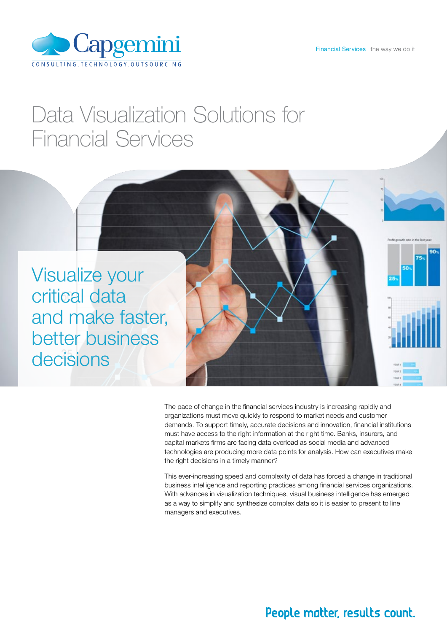Financial Services | the way we do it



# Data Visualization Solutions for Financial Services



The pace of change in the financial services industry is increasing rapidly and organizations must move quickly to respond to market needs and customer demands. To support timely, accurate decisions and innovation, financial institutions must have access to the right information at the right time. Banks, insurers, and capital markets firms are facing data overload as social media and advanced technologies are producing more data points for analysis. How can executives make the right decisions in a timely manner?

This ever-increasing speed and complexity of data has forced a change in traditional business intelligence and reporting practices among financial services organizations. With advances in visualization techniques, visual business intelligence has emerged as a way to simplify and synthesize complex data so it is easier to present to line managers and executives.

### People matter, results count.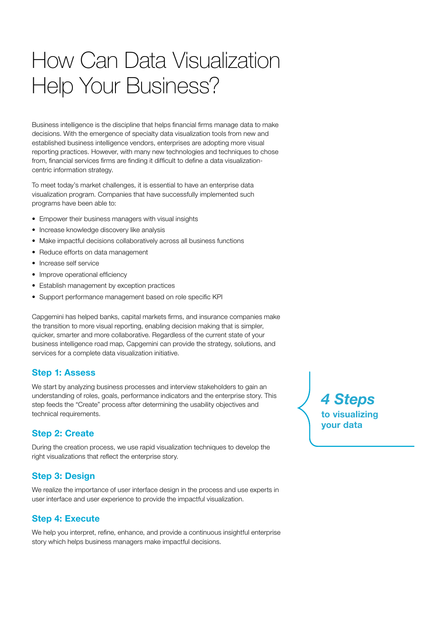# How Can Data Visualization Help Your Business?

Business intelligence is the discipline that helps financial firms manage data to make decisions. With the emergence of specialty data visualization tools from new and established business intelligence vendors, enterprises are adopting more visual reporting practices. However, with many new technologies and techniques to chose from, financial services firms are finding it difficult to define a data visualizationcentric information strategy.

To meet today's market challenges, it is essential to have an enterprise data visualization program. Companies that have successfully implemented such programs have been able to:

- Empower their business managers with visual insights
- Increase knowledge discovery like analysis
- Make impactful decisions collaboratively across all business functions
- Reduce efforts on data management
- Increase self service
- Improve operational efficiency
- Establish management by exception practices
- Support performance management based on role specific KPI

Capgemini has helped banks, capital markets firms, and insurance companies make the transition to more visual reporting, enabling decision making that is simpler, quicker, smarter and more collaborative. Regardless of the current state of your business intelligence road map, Capgemini can provide the strategy, solutions, and services for a complete data visualization initiative.

#### Step 1: Assess

We start by analyzing business processes and interview stakeholders to gain an understanding of roles, goals, performance indicators and the enterprise story. This step feeds the "Create" process after determining the usability objectives and technical requirements.

#### Step 2: Create

During the creation process, we use rapid visualization techniques to develop the right visualizations that reflect the enterprise story.

#### Step 3: Design

We realize the importance of user interface design in the process and use experts in user interface and user experience to provide the impactful visualization.

#### Step 4: Execute

We help you interpret, refine, enhance, and provide a continuous insightful enterprise story which helps business managers make impactful decisions.

*4 Steps* to visualizing vour data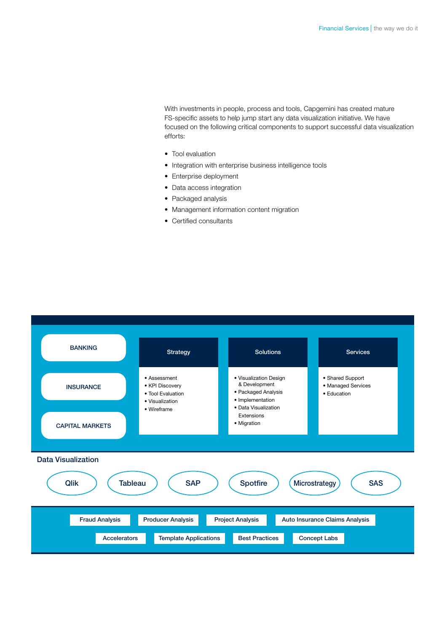With investments in people, process and tools, Capgemini has created mature FS-specific assets to help jump start any data visualization initiative. We have focused on the following critical components to support successful data visualization efforts:

- Tool evaluation
- Integration with enterprise business intelligence tools
- Enterprise deployment
- Data access integration
- Packaged analysis
- Management information content migration
- Certified consultants